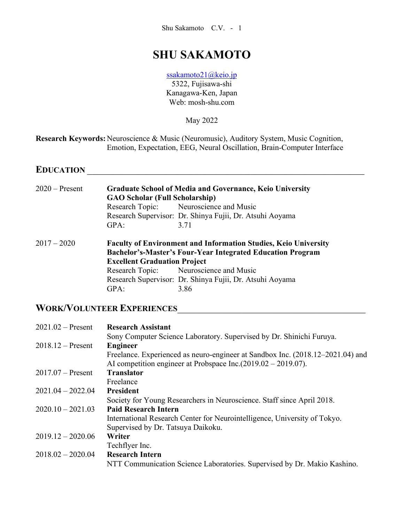# **SHU SAKAMOTO**

[ssakamoto21@keio.jp](mailto:ssakamoto21@keio.jp) 5322, Fujisawa-shi Kanagawa-Ken, Japan Web: mosh-shu.com

May 2022

**Research Keywords:** Neuroscience & Music (Neuromusic), Auditory System, Music Cognition, Emotion, Expectation, EEG, Neural Oscillation, Brain-Computer Interface

# **EDUCATION** \_\_\_\_\_\_\_\_\_\_\_\_\_\_\_\_\_\_\_\_\_\_\_\_\_\_\_\_\_\_\_\_\_\_\_\_\_\_\_\_\_\_\_\_\_\_\_\_\_\_\_\_\_\_\_\_

| $2020$ – Present | <b>Graduate School of Media and Governance, Keio University</b><br><b>GAO Scholar (Full Scholarship)</b>                                    |                                                          |
|------------------|---------------------------------------------------------------------------------------------------------------------------------------------|----------------------------------------------------------|
|                  |                                                                                                                                             | Research Topic: Neuroscience and Music                   |
|                  |                                                                                                                                             | Research Supervisor: Dr. Shinya Fujii, Dr. Atsuhi Aoyama |
|                  | GPA:                                                                                                                                        | 3.71                                                     |
| $2017 - 2020$    | <b>Faculty of Environment and Information Studies, Keio University</b><br><b>Bachelor's-Master's Four-Year Integrated Education Program</b> |                                                          |
|                  | <b>Excellent Graduation Project</b>                                                                                                         |                                                          |
|                  |                                                                                                                                             | Research Topic: Neuroscience and Music                   |
|                  |                                                                                                                                             | Research Supervisor: Dr. Shinya Fujii, Dr. Atsuhi Aoyama |
|                  | GPA:                                                                                                                                        | 3.86                                                     |

# **WORK/VOLUNTEER EXPERIENCES**\_\_\_\_\_\_\_\_\_\_\_\_\_\_\_\_\_\_\_\_\_\_\_\_\_\_\_\_\_\_\_\_\_\_\_\_\_\_

| $2021.02$ – Present | <b>Research Assistant</b>                                                      |
|---------------------|--------------------------------------------------------------------------------|
|                     | Sony Computer Science Laboratory. Supervised by Dr. Shinichi Furuya.           |
| $2018.12$ – Present | <b>Engineer</b>                                                                |
|                     | Freelance. Experienced as neuro-engineer at Sandbox Inc. (2018.12–2021.04) and |
|                     | AI competition engineer at Probspace Inc. $(2019.02 - 2019.07)$ .              |
| $2017.07$ – Present | <b>Translator</b>                                                              |
|                     | Freelance                                                                      |
| $2021.04 - 2022.04$ | <b>President</b>                                                               |
|                     | Society for Young Researchers in Neuroscience. Staff since April 2018.         |
| $2020.10 - 2021.03$ | <b>Paid Research Intern</b>                                                    |
|                     | International Research Center for Neurointelligence, University of Tokyo.      |
|                     | Supervised by Dr. Tatsuya Daikoku.                                             |
| $2019.12 - 2020.06$ | Writer                                                                         |
|                     | Techflyer Inc.                                                                 |
| $2018.02 - 2020.04$ | <b>Research Intern</b>                                                         |
|                     | NTT Communication Science Laboratories. Supervised by Dr. Makio Kashino.       |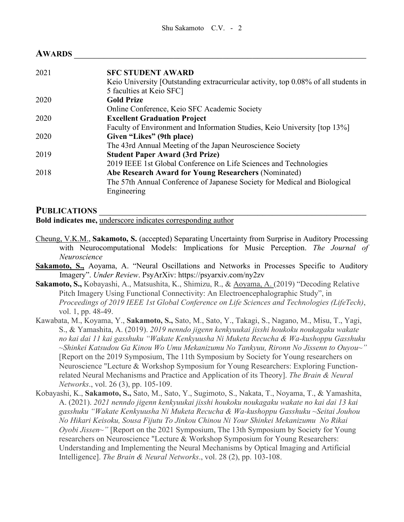### **AWARDS** \_\_\_\_\_\_\_\_\_\_\_\_\_\_\_\_\_\_\_\_\_\_\_\_\_\_\_\_\_\_\_\_\_\_\_\_\_\_\_\_\_\_\_\_\_\_\_\_\_\_\_\_\_\_\_\_\_\_\_

| 2021 | <b>SFC STUDENT AWARD</b>                                                            |
|------|-------------------------------------------------------------------------------------|
|      | Keio University [Outstanding extracurricular activity, top 0.08% of all students in |
|      | 5 faculties at Keio SFC]                                                            |
| 2020 | <b>Gold Prize</b>                                                                   |
|      | Online Conference, Keio SFC Academic Society                                        |
| 2020 | <b>Excellent Graduation Project</b>                                                 |
|      | Faculty of Environment and Information Studies, Keio University [top 13%]           |
| 2020 | Given "Likes" (9th place)                                                           |
|      | The 43rd Annual Meeting of the Japan Neuroscience Society                           |
| 2019 | <b>Student Paper Award (3rd Prize)</b>                                              |
|      | 2019 IEEE 1st Global Conference on Life Sciences and Technologies                   |
| 2018 | Abe Research Award for Young Researchers (Nominated)                                |
|      | The 57th Annual Conference of Japanese Society for Medical and Biological           |
|      | Engineering                                                                         |
|      |                                                                                     |

#### PUBLICATIONS

**Bold indicates me,** underscore indicates corresponding author

- Cheung, V.K.M., **Sakamoto, S.** (accepted) Separating Uncertainty from Surprise in Auditory Processing with Neurocomputational Models: Implications for Music Perception. *The Journal of Neuroscience*
- **Sakamoto, S.,** Aoyama, A. "Neural Oscillations and Networks in Processes Specific to Auditory Imagery". *Under Review*. PsyArXiv: https://psyarxiv.com/ny2zv
- **Sakamoto, S.,** Kobayashi, A., Matsushita, K., Shimizu, R., & Aoyama, A. (2019) "Decoding Relative Pitch Imagery Using Functional Connectivity: An Electroencephalographic Study", in *Proceedings of 2019 IEEE 1st Global Conference on Life Sciences and Technologies (LifeTech)*, vol. 1, pp. 48-49.
- Kawabata, M., Koyama, Y., **Sakamoto, S.,** Sato, M., Sato, Y., Takagi, S., Nagano, M., Misu, T., Yagi, S., & Yamashita, A. (2019). *2019 nenndo jigenn kenkyuukai jisshi houkoku noukagaku wakate no kai dai 11 kai gasshuku "Wakate Kenkyuusha Ni Muketa Recucha & Wa-kushoppu Gasshuku ~Shinkei Katsudou Ga Kinou Wo Umu Mekanizumu No Tankyuu, Rironn No Jissenn to Ouyou~"* [Report on the 2019 Symposium, The 11th Symposium by Society for Young researchers on Neuroscience "Lecture & Workshop Symposium for Young Researchers: Exploring Functionrelated Neural Mechanisms and Practice and Application of its Theory]. *The Brain & Neural Networks*., vol. 26 (3), pp. 105-109.
- Kobayashi, K., **Sakamoto, S.,** Sato, M., Sato, Y., Sugimoto, S., Nakata, T., Noyama, T., & Yamashita, A. (2021). *2021 nenndo jigenn kenkyuukai jisshi houkoku noukagaku wakate no kai dai 13 kai gasshuku "Wakate Kenkyuusha Ni Muketa Recucha & Wa-kushoppu Gasshuku ~Seitai Jouhou No Hikari Keisoku, Sousa Fijutu To Jinkou Chinou Ni Your Shinkei Mekanizumu No Rikai Oyobi Jissen~"* [Report on the 2021 Symposium, The 13th Symposium by Society for Young researchers on Neuroscience "Lecture & Workshop Symposium for Young Researchers: Understanding and Implementing the Neural Mechanisms by Optical Imaging and Artificial Intelligence]. *The Brain & Neural Networks*., vol. 28 (2), pp. 103-108.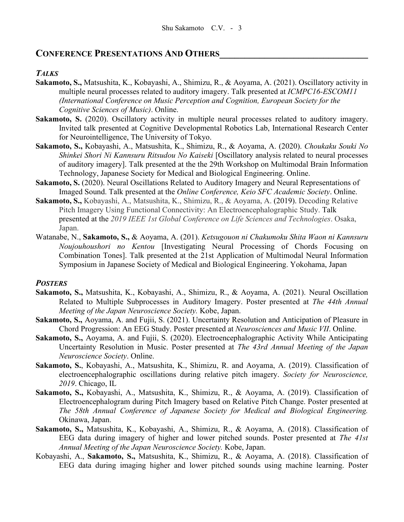## **CONFERENCE PRESENTATIONS AND OTHERS\_\_\_\_\_\_\_\_\_\_\_\_\_\_\_\_\_\_\_\_\_\_\_\_\_\_\_\_\_\_**

### *TALKS*

- **Sakamoto, S.,** Matsushita, K., Kobayashi, A., Shimizu, R., & Aoyama, A. (2021). Oscillatory activity in multiple neural processes related to auditory imagery. Talk presented at *ICMPC16-ESCOM11 (International Conference on Music Perception and Cognition, European Society for the Cognitive Sciences of Music)*. Online.
- **Sakamoto, S.** (2020). Oscillatory activity in multiple neural processes related to auditory imagery. Invited talk presented at Cognitive Developmental Robotics Lab, International Research Center for Neurointelligence, The University of Tokyo.
- **Sakamoto, S.,** Kobayashi, A., Matsushita, K., Shimizu, R., & Aoyama, A. (2020). *Choukaku Souki No Shinkei Shori Ni Kannsuru Ritsudou No Kaiseki* [Oscillatory analysis related to neural processes of auditory imagery]. Talk presented at the the 29th Workshop on Multimodal Brain Information Technology, Japanese Society for Medical and Biological Engineering. Online.
- **Sakamoto, S.** (2020). Neural Oscillations Related to Auditory Imagery and Neural Representations of Imaged Sound. Talk presented at the *Online Conference, Keio SFC Academic Society*. Online.
- **Sakamoto, S.,** Kobayashi, A., Matsushita, K., Shimizu, R., & Aoyama, A. (2019). Decoding Relative Pitch Imagery Using Functional Connectivity: An Electroencephalographic Study. Talk presented at the *2019 IEEE 1st Global Conference on Life Sciences and Technologies*. Osaka, Japan.
- Watanabe, N., **Sakamoto, S.,** & Aoyama, A. (201). *Ketsugouon ni Chakumoku Shita Waon ni Kannsuru Noujouhoushori no Kentou* [Investigating Neural Processing of Chords Focusing on Combination Tones]. Talk presented at the 21st Application of Multimodal Neural Information Symposium in Japanese Society of Medical and Biological Engineering. Yokohama, Japan

### *POSTERS*

- **Sakamoto, S.,** Matsushita, K., Kobayashi, A., Shimizu, R., & Aoyama, A. (2021). Neural Oscillation Related to Multiple Subprocesses in Auditory Imagery. Poster presented at *The 44th Annual Meeting of the Japan Neuroscience Society.* Kobe, Japan.
- **Sakamoto, S.,** Aoyama, A. and Fujii, S. (2021). Uncertainty Resolution and Anticipation of Pleasure in Chord Progression: An EEG Study. Poster presented at *Neurosciences and Music VII*. Online.
- **Sakamoto, S.,** Aoyama, A. and Fujii, S. (2020). Electroencephalographic Activity While Anticipating Uncertainty Resolution in Music. Poster presented at *The 43rd Annual Meeting of the Japan Neuroscience Society*. Online.
- **Sakamoto, S.**, Kobayashi, A., Matsushita, K., Shimizu, R. and Aoyama, A. (2019). Classification of electroencephalographic oscillations during relative pitch imagery. *Society for Neuroscience, 2019*. Chicago, IL
- **Sakamoto, S.,** Kobayashi, A., Matsushita, K., Shimizu, R., & Aoyama, A. (2019). Classification of Electroencephalogram during Pitch Imagery based on Relative Pitch Change. Poster presented at *The 58th Annual Conference of Japanese Society for Medical and Biological Engineering.*  Okinawa, Japan.
- **Sakamoto, S.,** Matsushita, K., Kobayashi, A., Shimizu, R., & Aoyama, A. (2018). Classification of EEG data during imagery of higher and lower pitched sounds. Poster presented at *The 41st Annual Meeting of the Japan Neuroscience Society.* Kobe, Japan.
- Kobayashi, A., **Sakamoto, S.,** Matsushita, K., Shimizu, R., & Aoyama, A. (2018). Classification of EEG data during imaging higher and lower pitched sounds using machine learning. Poster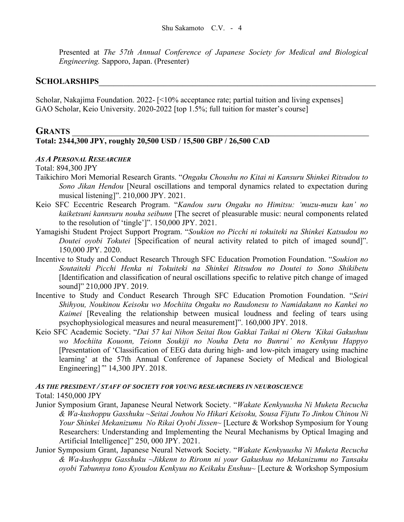Presented at *The 57th Annual Conference of Japanese Society for Medical and Biological Engineering.* Sapporo, Japan. (Presenter)

### $S$ CHOLARSHIPS

Scholar, Nakajima Foundation. 2022- [<10% acceptance rate; partial tuition and living expenses] GAO Scholar, Keio University. 2020-2022 [top 1.5%; full tuition for master's course]

### **GRANTS** \_\_\_\_\_\_\_\_\_\_\_\_\_\_\_\_\_\_\_\_\_\_\_\_\_\_\_\_\_\_\_\_\_\_\_\_\_\_\_\_\_\_\_\_\_\_\_\_\_\_\_\_\_\_\_\_\_\_\_\_

### **Total: 2344,300 JPY, roughly 20,500 USD / 15,500 GBP / 26,500 CAD**

#### *AS A PERSONAL RESEARCHER*

Total: 894,300 JPY

- Taikichiro Mori Memorial Research Grants. "*Ongaku Choushu no Kitai ni Kansuru Shinkei Ritsudou to Sono Jikan Hendou* [Neural oscillations and temporal dynamics related to expectation during musical listening]". 210,000 JPY. 2021.
- Keio SFC Eccentric Research Program. "*Kandou suru Ongaku no Himitsu: 'muzu-muzu kan' no kaiketsuni kannsuru nouha seibunn* [The secret of pleasurable music: neural components related to the resolution of 'tingle']". 150,000 JPY. 2021.
- Yamagishi Student Project Support Program. "*Soukion no Picchi ni tokuiteki na Shinkei Katsudou no Doutei oyobi Tokutei* [Specification of neural activity related to pitch of imaged sound]". 150,000 JPY. 2020.
- Incentive to Study and Conduct Research Through SFC Education Promotion Foundation. "*Soukion no Soutaiteki Picchi Henka ni Tokuiteki na Shinkei Ritsudou no Doutei to Sono Shikibetu* [Identification and classification of neural oscillations specific to relative pitch change of imaged sound]" 210,000 JPY. 2019.
- Incentive to Study and Conduct Research Through SFC Education Promotion Foundation. "*Seiri Shihyou, Noukinou Keisoku wo Mochiita Ongaku no Raudonesu to Namidakann no Kankei no Kaimei* [Revealing the relationship between musical loudness and feeling of tears using psychophysiological measures and neural measurement]". 160,000 JPY. 2018.
- Keio SFC Academic Society. "*Dai 57 kai Nihon Seitai Ikou Gakkai Taikai ni Okeru 'Kikai Gakushuu wo Mochiita Kouonn, Teionn Soukiji no Nouha Deta no Bunrui' no Kenkyuu Happyo* [Presentation of 'Classification of EEG data during high- and low-pitch imagery using machine learning' at the 57th Annual Conference of Japanese Society of Medical and Biological Engineering]*'*" 14,300 JPY. 2018.

# *AS THE PRESIDENT / STAFF OF SOCIETY FOR YOUNG RESEARCHERS IN NEUROSCIENCE*

Total: 1450,000 JPY

- Junior Symposium Grant, Japanese Neural Network Society. "*Wakate Kenkyuusha Ni Muketa Recucha & Wa-kushoppu Gasshuku ~Seitai Jouhou No Hikari Keisoku, Sousa Fijutu To Jinkou Chinou Ni Your Shinkei Mekanizumu No Rikai Oyobi Jissen~* [Lecture & Workshop Symposium for Young Researchers: Understanding and Implementing the Neural Mechanisms by Optical Imaging and Artificial Intelligence]" 250, 000 JPY. 2021.
- Junior Symposium Grant, Japanese Neural Network Society. "*Wakate Kenkyuusha Ni Muketa Recucha & Wa-kushoppu Gasshuku ~Jikkenn to Rironn ni your Gakushuu no Mekanizumu no Tansaku oyobi Tabunnya tono Kyoudou Kenkyuu no Keikaku Enshuu~* [Lecture & Workshop Symposium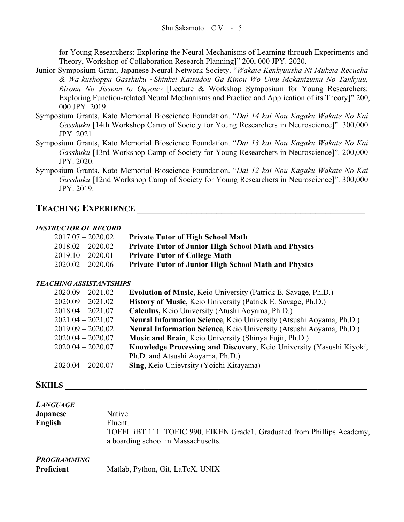for Young Researchers: Exploring the Neural Mechanisms of Learning through Experiments and Theory, Workshop of Collaboration Research Planning]" 200, 000 JPY. 2020.

- Junior Symposium Grant, Japanese Neural Network Society. "*Wakate Kenkyuusha Ni Muketa Recucha & Wa-kushoppu Gasshuku ~Shinkei Katsudou Ga Kinou Wo Umu Mekanizumu No Tankyuu, Rironn No Jissenn to Ouyou~* [Lecture & Workshop Symposium for Young Researchers: Exploring Function-related Neural Mechanisms and Practice and Application of its Theory]" 200, 000 JPY. 2019.
- Symposium Grants, Kato Memorial Bioscience Foundation. "*Dai 14 kai Nou Kagaku Wakate No Kai Gasshuku* [14th Workshop Camp of Society for Young Researchers in Neuroscience]". 300,000 JPY. 2021.
- Symposium Grants, Kato Memorial Bioscience Foundation. "*Dai 13 kai Nou Kagaku Wakate No Kai Gasshuku* [13rd Workshop Camp of Society for Young Researchers in Neuroscience]". 200,000 JPY. 2020.
- Symposium Grants, Kato Memorial Bioscience Foundation. "*Dai 12 kai Nou Kagaku Wakate No Kai Gasshuku* [12nd Workshop Camp of Society for Young Researchers in Neuroscience]". 300,000 JPY. 2019.

# **TEACHING EXPERIENCE \_\_\_\_\_\_\_\_\_\_\_\_\_\_\_\_\_\_\_\_\_\_\_\_\_\_\_\_\_\_\_\_\_\_\_\_\_\_\_\_\_\_\_\_\_\_**

#### *INSTRUCTOR OF RECORD*

| 2017.07 – 2020.02 | <b>Private Tutor of High School Math</b>                    |
|-------------------|-------------------------------------------------------------|
| 2018.02 – 2020.02 | <b>Private Tutor of Junior High School Math and Physics</b> |
| 2019.10 – 2020.01 | <b>Private Tutor of College Math</b>                        |
| 2020.02 – 2020.06 | <b>Private Tutor of Junior High School Math and Physics</b> |

#### *TEACHING ASSISTANTSHIPS*

| $2020.09 - 2021.02$ | <b>Evolution of Music, Keio University (Patrick E. Savage, Ph.D.)</b> |
|---------------------|-----------------------------------------------------------------------|
| $2020.09 - 2021.02$ | History of Music, Keio University (Patrick E. Savage, Ph.D.)          |
| $2018.04 - 2021.07$ | Calculus, Keio University (Atushi Aoyama, Ph.D.)                      |
| $2021.04 - 2021.07$ | Neural Information Science, Keio University (Atsushi Aoyama, Ph.D.)   |
| $2019.09 - 2020.02$ | Neural Information Science, Keio University (Atsushi Aoyama, Ph.D.)   |
| $2020.04 - 2020.07$ | Music and Brain, Keio University (Shinya Fujii, Ph.D.)                |
| $2020.04 - 2020.07$ | Knowledge Processing and Discovery, Keio University (Yasushi Kiyoki,  |
|                     | Ph.D. and Atsushi Aoyama, Ph.D.)                                      |
| $2020.04 - 2020.07$ | Sing, Keio Unievrsity (Yoichi Kitayama)                               |

#### **SKIILS \_\_\_\_\_\_\_\_\_\_\_\_\_\_\_\_\_\_\_\_\_\_\_\_\_\_\_\_\_\_\_\_\_\_\_\_\_\_\_\_\_\_\_\_\_\_\_\_\_\_\_\_\_\_\_\_\_\_\_\_\_**

| <b>LANGUAGE</b><br><b>Japanese</b><br>English | Native<br>Fluent.<br>TOEFL iBT 111. TOEIC 990, EIKEN Grade1. Graduated from Phillips Academy,<br>a boarding school in Massachusetts. |
|-----------------------------------------------|--------------------------------------------------------------------------------------------------------------------------------------|
| <b>PROGRAMMING</b><br>Proficient              | Matlab, Python, Git, LaTeX, UNIX                                                                                                     |